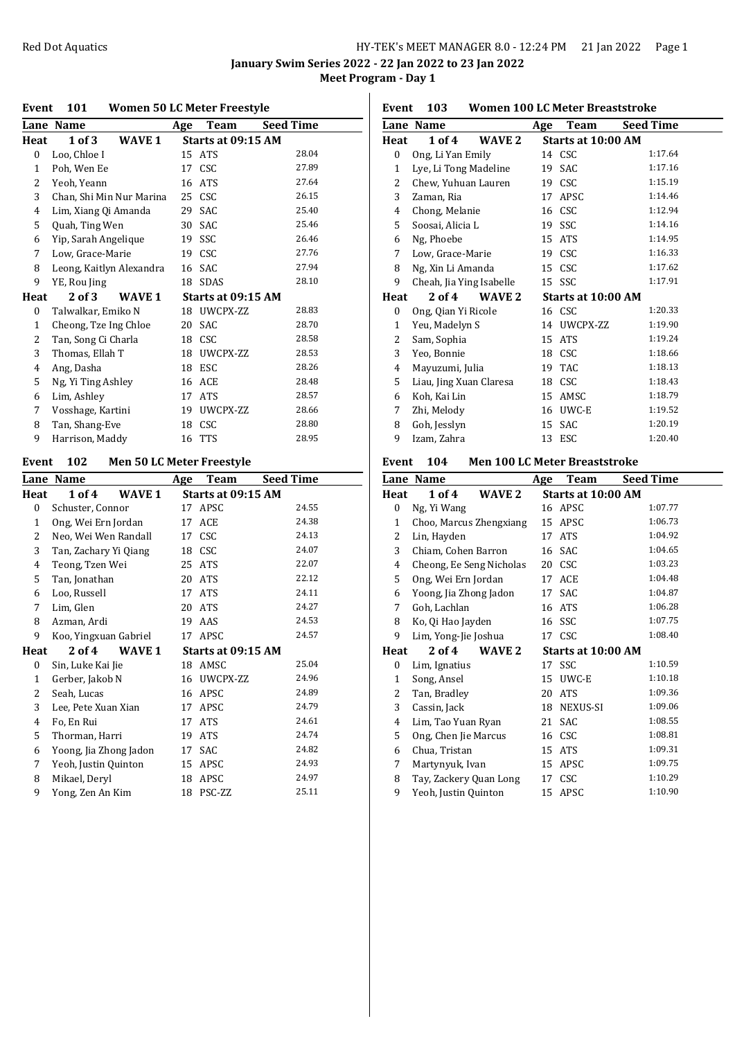**January Swim Series 2022 - 22 Jan 2022 to 23 Jan 2022 Meet Program - Day 1**

### **Event 101 Women 50 LC Meter Freestyle**

|                | Lane Name                | Age | Team               | <b>Seed Time</b> |
|----------------|--------------------------|-----|--------------------|------------------|
| Heat           | 1 of 3<br>WAVE 1         |     | Starts at 09:15 AM |                  |
| 0              | Loo, Chloe I             |     | 15 ATS             | 28.04            |
| 1              | Poh, Wen Ee              | 17  | <b>CSC</b>         | 27.89            |
| 2              | Yeoh, Yeann              | 16  | <b>ATS</b>         | 27.64            |
| 3              | Chan, Shi Min Nur Marina | 25  | CSC                | 26.15            |
| $\overline{4}$ | Lim, Xiang Qi Amanda     | 29  | SAC                | 25.40            |
| 5              | Quah, Ting Wen           | 30  | SAC                | 25.46            |
| 6              | Yip, Sarah Angelique     | 19  | SSC                | 26.46            |
| 7              | Low, Grace-Marie         | 19  | <b>CSC</b>         | 27.76            |
| 8              | Leong, Kaitlyn Alexandra | 16  | <b>SAC</b>         | 27.94            |
| 9              | YE, Rou Jing             | 18  | SDAS               | 28.10            |
| Heat           | 2 of 3<br>WAVE 1         |     | Starts at 09:15 AM |                  |
| 0              | Talwalkar, Emiko N       | 18  | UWCPX-ZZ           | 28.83            |
| $\mathbf{1}$   | Cheong, Tze Ing Chloe    | 20  | SAC                | 28.70            |
| 2              | Tan, Song Ci Charla      | 18  | <b>CSC</b>         | 28.58            |
| 3              | Thomas, Ellah T          | 18  | UWCPX-ZZ           | 28.53            |
| 4              | Ang, Dasha               | 18  | <b>ESC</b>         | 28.26            |
| 5              | Ng, Yi Ting Ashley       | 16  | ACE                | 28.48            |
| 6              | Lim, Ashley              | 17  | <b>ATS</b>         | 28.57            |
| 7              | Vosshage, Kartini        | 19  | UWCPX-ZZ           | 28.66            |
| 8              | Tan, Shang-Eve           | 18  | <b>CSC</b>         | 28.80            |
| 9              | Harrison, Maddy          | 16  | TTS                | 28.95            |

# **Event 102 Men 50 LC Meter Freestyle**

|              | Lane Name              | Age                | Team               | Seed Time |
|--------------|------------------------|--------------------|--------------------|-----------|
| Heat         | 1 of 4<br>WAVE 1       |                    | Starts at 09:15 AM |           |
| 0            | Schuster, Connor       | 17                 | APSC               | 24.55     |
| $\mathbf{1}$ | Ong, Wei Ern Jordan    | 17                 | ACE                | 24.38     |
| 2            | Neo, Wei Wen Randall   | 17                 | <b>CSC</b>         | 24.13     |
| 3            | Tan, Zachary Yi Qiang  | 18                 | <b>CSC</b>         | 24.07     |
| 4            | Teong, Tzen Wei        | 25                 | ATS                | 22.07     |
| 5            | Tan, Jonathan          | 20                 | <b>ATS</b>         | 22.12     |
| 6            | Loo, Russell           | 17                 | <b>ATS</b>         | 24.11     |
| 7            | Lim, Glen              | 20                 | <b>ATS</b>         | 24.27     |
| 8            | Azman, Ardi            | 19                 | AAS                | 24.53     |
| 9            | Koo, Yingxuan Gabriel  |                    | 17 APSC            | 24.57     |
| Heat         | 2 of 4<br>WAVE 1       | Starts at 09:15 AM |                    |           |
| 0            | Sin, Luke Kai Jie      | 18                 | AMSC               | 25.04     |
| $\mathbf{1}$ | Gerber, Jakob N        |                    | 16 UWCPX-ZZ        | 24.96     |
| 2            | Seah, Lucas            | 16                 | APSC               | 24.89     |
| 3            | Lee, Pete Xuan Xian    | 17                 | APSC               | 24.79     |
| 4            | Fo, En Rui             | 17                 | <b>ATS</b>         | 24.61     |
| 5            | Thorman, Harri         | 19                 | <b>ATS</b>         | 24.74     |
| 6            | Yoong, Jia Zhong Jadon | 17                 | SAC                | 24.82     |
| 7            | Yeoh, Justin Quinton   | 15                 | APSC               | 24.93     |
| 8            | Mikael, Deryl          | 18                 | APSC               | 24.97     |
| 9            | Yong, Zen An Kim       | 18                 | PSC-ZZ             | 25.11     |
|              |                        |                    |                    |           |

| Women 100 LC Meter Breaststroke<br>103<br>Event |                          |                   |     |                    |                  |  |
|-------------------------------------------------|--------------------------|-------------------|-----|--------------------|------------------|--|
|                                                 | Lane Name                |                   | Age | Team               | <b>Seed Time</b> |  |
| Heat                                            | 1 of 4                   | WAVE 2            |     | Starts at 10:00 AM |                  |  |
| 0                                               | Ong, Li Yan Emily        |                   |     | 14 CSC             | 1:17.64          |  |
| 1                                               | Lye, Li Tong Madeline    |                   | 19  | SAC                | 1:17.16          |  |
| 2                                               | Chew, Yuhuan Lauren      |                   | 19  | <b>CSC</b>         | 1:15.19          |  |
| 3                                               | Zaman, Ria               |                   | 17  | APSC               | 1:14.46          |  |
| 4                                               | Chong, Melanie           |                   |     | 16 CSC             | 1:12.94          |  |
| 5                                               | Soosai, Alicia L         |                   | 19  | <b>SSC</b>         | 1:14.16          |  |
| 6                                               | Ng, Phoebe               |                   |     | 15 ATS             | 1:14.95          |  |
| 7                                               | Low, Grace-Marie         |                   |     | 19 CSC             | 1:16.33          |  |
| 8                                               | Ng, Xin Li Amanda        |                   |     | 15 CSC             | 1:17.62          |  |
| 9                                               | Cheah, Jia Ying Isabelle |                   |     | 15 SSC             | 1:17.91          |  |
| Heat                                            | 2 of 4                   | WAVE <sub>2</sub> |     | Starts at 10:00 AM |                  |  |
| 0                                               | Ong, Qian Yi Ricole      |                   |     | 16 CSC             | 1:20.33          |  |
| $\mathbf{1}$                                    | Yeu, Madelyn S           |                   |     | 14 UWCPX-ZZ        | 1:19.90          |  |
| 2                                               | Sam, Sophia              |                   | 15  | <b>ATS</b>         | 1:19.24          |  |
| 3                                               | Yeo, Bonnie              |                   |     | 18 CSC             | 1:18.66          |  |
| 4                                               | Mayuzumi, Julia          |                   | 19  | <b>TAC</b>         | 1:18.13          |  |
| 5                                               | Liau, Jing Xuan Claresa  |                   | 18  | <b>CSC</b>         | 1:18.43          |  |
| 6                                               | Koh, Kai Lin             |                   | 15  | AMSC               | 1:18.79          |  |
| 7                                               | Zhi, Melody              |                   | 16  | UWC-E              | 1:19.52          |  |
| 8                                               | Goh, Jesslyn             |                   | 15  | SAC                | 1:20.19          |  |
| 9                                               | Izam, Zahra              |                   | 13  | ESC                | 1:20.40          |  |

## **Event 104 Men 100 LC Meter Breaststroke**

|      | Lane Name                | Age | Team               | <b>Seed Time</b> |
|------|--------------------------|-----|--------------------|------------------|
| Heat | 1 of 4<br>WAVE 2         |     | Starts at 10:00 AM |                  |
| 0    | Ng, Yi Wang              |     | 16 APSC            | 1:07.77          |
| 1    | Choo, Marcus Zhengxiang  |     | 15 APSC            | 1:06.73          |
| 2    | Lin, Hayden              | 17  | <b>ATS</b>         | 1:04.92          |
| 3    | Chiam, Cohen Barron      |     | 16 SAC             | 1:04.65          |
| 4    | Cheong, Ee Seng Nicholas |     | 20 CSC             | 1:03.23          |
| 5    | Ong, Wei Ern Jordan      | 17  | ACE                | 1:04.48          |
| 6    | Yoong, Jia Zhong Jadon   |     | 17 SAC             | 1:04.87          |
| 7    | Goh, Lachlan             |     | 16 ATS             | 1:06.28          |
| 8    | Ko, Qi Hao Jayden        |     | 16 SSC             | 1:07.75          |
| 9    | Lim, Yong-Jie Joshua     |     | 17 CSC             | 1:08.40          |
| Heat | $2$ of 4<br>WAVE 2       |     | Starts at 10:00 AM |                  |
| 0    | Lim, Ignatius            |     | 17 SSC             | 1:10.59          |
| 1    | Song, Ansel              |     | 15 UWC-E           | 1:10.18          |
| 2    | Tan, Bradley             | 20  | <b>ATS</b>         | 1:09.36          |
| 3    | Cassin, Jack             |     | 18 NEXUS-SI        | 1:09.06          |
| 4    | Lim, Tao Yuan Ryan       | 21  | SAC                | 1:08.55          |
| 5    | Ong, Chen Jie Marcus     |     | 16 CSC             | 1:08.81          |
| 6    | Chua, Tristan            |     | 15 ATS             | 1:09.31          |
| 7    | Martynyuk, Ivan          | 15  | APSC               | 1:09.75          |
| 8    | Tay, Zackery Quan Long   | 17  | <b>CSC</b>         | 1:10.29          |
| 9    | Yeoh, Justin Quinton     | 15  | APSC               | 1:10.90          |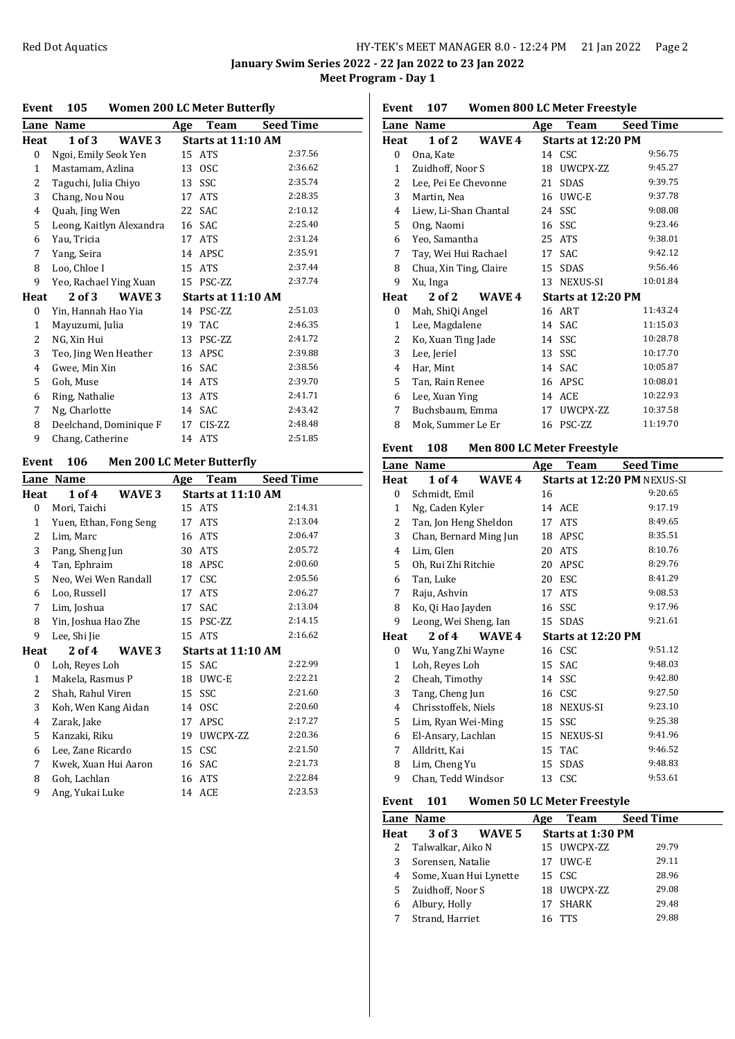**January Swim Series 2022 - 22 Jan 2022 to 23 Jan 2022 Meet Program - Day 1**

#### **Event 105 Women 200 LC Meter Butterfly**

|                | Lane Name                | Age | Team               | <b>Seed Time</b> |  |  |  |  |
|----------------|--------------------------|-----|--------------------|------------------|--|--|--|--|
| Heat           | 1 of 3<br>WAVE 3         |     | Starts at 11:10 AM |                  |  |  |  |  |
| $\mathbf{0}$   | Ngoi, Emily Seok Yen     |     | 15 ATS             | 2:37.56          |  |  |  |  |
| 1              | Mastamam, Azlina         | 13  | <b>OSC</b>         | 2:36.62          |  |  |  |  |
| 2              | Taguchi, Julia Chiyo     | 13  | SSC                | 2:35.74          |  |  |  |  |
| 3              | Chang, Nou Nou           | 17  | <b>ATS</b>         | 2:28.35          |  |  |  |  |
| 4              | Quah, Jing Wen           | 22  | <b>SAC</b>         | 2:10.12          |  |  |  |  |
| 5              | Leong, Kaitlyn Alexandra |     | 16 SAC             | 2:25.40          |  |  |  |  |
| 6              | Yau, Tricia              | 17  | <b>ATS</b>         | 2:31.24          |  |  |  |  |
| 7              | Yang, Seira              |     | 14 APSC            | 2:35.91          |  |  |  |  |
| 8              | Loo, Chloe I             | 15  | <b>ATS</b>         | 2:37.44          |  |  |  |  |
| 9              | Yeo, Rachael Ying Xuan   |     | 15 PSC-ZZ          | 2:37.74          |  |  |  |  |
| Heat           | 2 of 3<br>WAVE 3         |     | Starts at 11:10 AM |                  |  |  |  |  |
| 0              | Yin, Hannah Hao Yia      |     | 14 PSC-ZZ          | 2:51.03          |  |  |  |  |
| 1              | Mayuzumi, Julia          | 19  | <b>TAC</b>         | 2:46.35          |  |  |  |  |
| 2              | NG, Xin Hui              | 13  | PSC-ZZ             | 2:41.72          |  |  |  |  |
| 3              | Teo, Jing Wen Heather    | 13  | APSC               | 2:39.88          |  |  |  |  |
| $\overline{4}$ | Gwee, Min Xin            |     | 16 SAC             | 2:38.56          |  |  |  |  |
| 5              | Goh, Muse                |     | 14 ATS             | 2:39.70          |  |  |  |  |
| 6              | Ring, Nathalie           | 13  | <b>ATS</b>         | 2:41.71          |  |  |  |  |
| 7              | Ng, Charlotte            | 14  | <b>SAC</b>         | 2:43.42          |  |  |  |  |
| 8              | Deelchand, Dominique F   | 17  | CIS-ZZ             | 2:48.48          |  |  |  |  |
| 9              | Chang, Catherine         | 14  | <b>ATS</b>         | 2:51.85          |  |  |  |  |
|                |                          |     |                    |                  |  |  |  |  |

# **Event 106 Men 200 LC Meter Butterfly**

| Lane Name              | Age | Team       | <b>Seed Time</b>                                                                                                                                                         |
|------------------------|-----|------------|--------------------------------------------------------------------------------------------------------------------------------------------------------------------------|
| 1 of 4<br>WAVE 3       |     |            |                                                                                                                                                                          |
| Mori, Taichi           |     |            | 2:14.31                                                                                                                                                                  |
| Yuen, Ethan, Fong Seng | 17  | <b>ATS</b> | 2:13.04                                                                                                                                                                  |
| Lim, Marc              | 16  | <b>ATS</b> | 2:06.47                                                                                                                                                                  |
| Pang, Sheng Jun        |     | <b>ATS</b> | 2:05.72                                                                                                                                                                  |
| Tan, Ephraim           |     | APSC       | 2:00.60                                                                                                                                                                  |
| Neo, Wei Wen Randall   | 17  | <b>CSC</b> | 2:05.56                                                                                                                                                                  |
| Loo, Russell           | 17  | <b>ATS</b> | 2:06.27                                                                                                                                                                  |
| Lim, Joshua            | 17  | <b>SAC</b> | 2:13.04                                                                                                                                                                  |
| Yin, Joshua Hao Zhe    |     |            | 2:14.15                                                                                                                                                                  |
| Lee, Shi Jie           |     |            | 2:16.62                                                                                                                                                                  |
| $2$ of 4<br>WAVE 3     |     |            |                                                                                                                                                                          |
| Loh, Reyes Loh         |     |            | 2:22.99                                                                                                                                                                  |
| Makela, Rasmus P       |     |            | 2:22.21                                                                                                                                                                  |
| Shah, Rahul Viren      |     |            | 2:21.60                                                                                                                                                                  |
| Koh, Wen Kang Aidan    |     |            | 2:20.60                                                                                                                                                                  |
| Zarak, Jake            | 17  | APSC       | 2:17.27                                                                                                                                                                  |
| Kanzaki, Riku          |     |            | 2:20.36                                                                                                                                                                  |
| Lee, Zane Ricardo      |     |            | 2:21.50                                                                                                                                                                  |
| Kwek, Xuan Hui Aaron   |     | SAC        | 2:21.73                                                                                                                                                                  |
| Goh, Lachlan           | 16  | <b>ATS</b> | 2:22.84                                                                                                                                                                  |
| Ang, Yukai Luke        |     |            | 2:23.53                                                                                                                                                                  |
|                        |     |            | Starts at 11:10 AM<br>15 ATS<br>30<br>18<br>15 PSC-ZZ<br>15 ATS<br>Starts at 11:10 AM<br>15 SAC<br>18 UWC-E<br>15 SSC<br>14 OSC<br>19 UWCPX-ZZ<br>15 CSC<br>16<br>14 ACE |

**Event 107 Women 800 LC Meter Freestyle**

|              | Lane Name              | Age    | Team               | <b>Seed Time</b> |
|--------------|------------------------|--------|--------------------|------------------|
| Heat         | 1 of 2                 | WAVE 4 | Starts at 12:20 PM |                  |
| 0            | Ona, Kate              |        | 14 CSC             | 9:56.75          |
| $\mathbf{1}$ | Zuidhoff, Noor S       |        | 18 UWCPX-ZZ        | 9:45.27          |
| 2            | Lee, Pei Ee Chevonne   | 21     | <b>SDAS</b>        | 9:39.75          |
| 3            | Martin, Nea            |        | 16 UWC-E           | 9:37.78          |
| 4            | Liew, Li-Shan Chantal  |        | 24 SSC             | 9:08.08          |
| 5            | Ong, Naomi             | 16     | <b>SSC</b>         | 9:23.46          |
| 6            | Yeo, Samantha          |        | 25 ATS             | 9:38.01          |
| 7            | Tay, Wei Hui Rachael   |        | 17 SAC             | 9:42.12          |
| 8            | Chua, Xin Ting, Claire |        | 15 SDAS            | 9:56.46          |
| 9            | Xu, Inga               | 13     | NEXUS-SI           | 10:01.84         |
| Heat         | 2 of 2                 | WAVE 4 | Starts at 12:20 PM |                  |
| 0            | Mah, ShiQi Angel       |        | 16 ART             | 11:43.24         |
| 1            | Lee, Magdalene         |        | 14 SAC             | 11:15.03         |
| 2            | Ko, Xuan Ting Jade     |        | 14 SSC             | 10:28.78         |
| 3            | Lee, Jeriel            |        | 13 SSC             | 10:17.70         |
| 4            | Har, Mint              |        | 14 SAC             | 10:05.87         |
| 5            | Tan, Rain Renee        | 16     | APSC               | 10:08.01         |
| 6            | Lee, Xuan Ying         |        | 14 ACE             | 10:22.93         |
| 7            | Buchsbaum, Emma        | 17     | UWCPX-ZZ           | 10:37.58         |
| 8            | Mok, Summer Le Er      |        | 16 PSC-ZZ          | 11:19.70         |

### **Event 108 Men 800 LC Meter Freestyle**

|      | Lane Name              | Age | Team                               | <b>Seed Time</b> |  |  |
|------|------------------------|-----|------------------------------------|------------------|--|--|
| Heat | 1 of 4<br>WAVE 4       |     | <b>Starts at 12:20 PM NEXUS-SI</b> |                  |  |  |
| 0    | Schmidt, Emil          | 16  |                                    | 9:20.65          |  |  |
| 1    | Ng, Caden Kyler        |     | 14 ACE                             | 9:17.19          |  |  |
| 2    | Tan, Jon Heng Sheldon  | 17  | <b>ATS</b>                         | 8:49.65          |  |  |
| 3    | Chan, Bernard Ming Jun | 18  | APSC                               | 8:35.51          |  |  |
| 4    | Lim, Glen              | 20  | <b>ATS</b>                         | 8:10.76          |  |  |
| 5    | Oh, Rui Zhi Ritchie    | 20  | APSC                               | 8:29.76          |  |  |
| 6    | Tan, Luke              | 20  | ESC                                | 8:41.29          |  |  |
| 7    | Raju, Ashvin           | 17  | <b>ATS</b>                         | 9:08.53          |  |  |
| 8    | Ko, Qi Hao Jayden      |     | 16 SSC                             | 9:17.96          |  |  |
| 9    | Leong, Wei Sheng, Ian  |     | 15 SDAS                            | 9:21.61          |  |  |
| Heat | $2$ of 4<br>WAVE 4     |     | Starts at 12:20 PM                 |                  |  |  |
| 0    | Wu, Yang Zhi Wayne     |     | 16 CSC                             | 9:51.12          |  |  |
| 1    | Loh, Reyes Loh         | 15  | SAC                                | 9:48.03          |  |  |
| 2    | Cheah, Timothy         |     | 14 SSC                             | 9:42.80          |  |  |
| 3    | Tang, Cheng Jun        |     | 16 CSC                             | 9:27.50          |  |  |
| 4    | Chrisstoffels, Niels   |     | 18 NEXUS-SI                        | 9:23.10          |  |  |
| 5    | Lim, Ryan Wei-Ming     |     | 15 SSC                             | 9:25.38          |  |  |
| 6    | El-Ansary, Lachlan     | 15  | NEXUS-SI                           | 9:41.96          |  |  |
| 7    | Alldritt, Kai          | 15  | TAC                                | 9:46.52          |  |  |
| 8    | Lim, Cheng Yu          | 15  | SDAS                               | 9:48.83          |  |  |
| 9    | Chan, Tedd Windsor     | 13  | <b>CSC</b>                         | 9:53.61          |  |  |
|      |                        |     |                                    |                  |  |  |

| Event 101 |  | <b>Women 50 LC Meter Freestyle</b> |  |
|-----------|--|------------------------------------|--|
|-----------|--|------------------------------------|--|

| Lane Name              | Age | Team              | <b>Seed Time</b>                              |                          |
|------------------------|-----|-------------------|-----------------------------------------------|--------------------------|
| 3 of 3                 |     |                   |                                               |                          |
| Talwalkar, Aiko N      |     |                   | 29.79                                         |                          |
| Sorensen, Natalie      | 17  |                   | 29.11                                         |                          |
| Some, Xuan Hui Lynette |     |                   | 28.96                                         |                          |
| Zuidhoff, Noor S       |     |                   | 29.08                                         |                          |
| Albury, Holly          | 17  | <b>SHARK</b>      | 29.48                                         |                          |
| Strand, Harriet        | 16  | <b>TTS</b>        | 29.88                                         |                          |
|                        |     | WAVE <sub>5</sub> | 15 UWCPX-ZZ<br>UWC-E<br>15 CSC<br>18 UWCPX-ZZ | <b>Starts at 1:30 PM</b> |